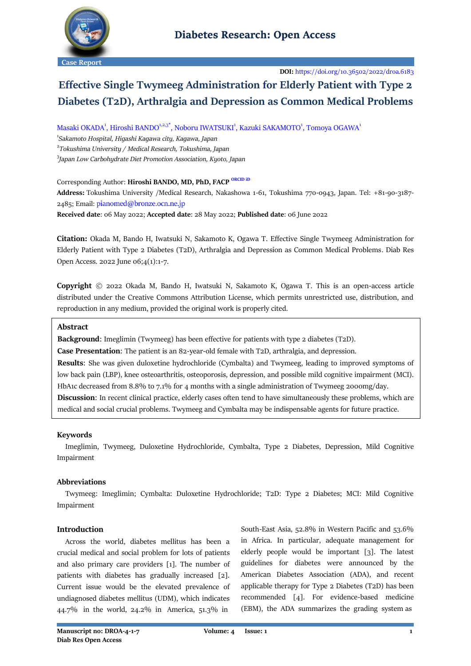

**DOI:** <https://doi.org/10.36502/2022/droa.6183>

# **Effective Single Twymeeg Administration for Elderly Patient with Type 2 Diabetes (T2D), Arthralgia and Depression as Common Medical Problems**

Masaki OKADA<sup>1</sup>, Hiroshi BANDO<sup>1,2,3</sup><sup>\*</sup>, Noboru IWATSUKI<sup>1</sup>, Kazuki SAKAMOTO<sup>1</sup>, Tomoya OGAWA<sup>1</sup>

1 *[Sakamoto Hospital,](https://www.sakamoto-hosp.work/) Higashi Kagawa city, Kagawa, Japan* 2 *[Tokushima University](https://www.tokushima-u.ac.jp/english/) / Medical Research, Tokushima, Japan* 3 *Japan Low Carbohydrate Diet Promotion Association, Kyoto, Japan*

Corresponding Author: **Hiroshi BANDO, MD, PhD, FACP [ORCID iD](https://orcid.org/0000-0002-6304-0224) Address:** Tokushima University /Medical Research, Nakashowa 1-61, Tokushima 770-0943, Japan. Tel: +81-90-3187- 2485; Email: pianomed@bronze.ocn.ne.jp **Received date**: 06 May 2022; **Accepted date**: 28 May 2022; **Published date**: 06 June 2022

**Citation:** Okada M, Bando H, Iwatsuki N, Sakamoto K, Ogawa T. Effective Single Twymeeg Administration for Elderly Patient with Type 2 Diabetes (T2D), Arthralgia and Depression as Common Medical Problems. Diab Res Open Access. 2022 June 06;4(1):1-7.

**Copyright** © 2022 Okada M, Bando H, Iwatsuki N, Sakamoto K, Ogawa T. This is an open-access article distributed under the Creative Commons Attribution License, which permits unrestricted use, distribution, and reproduction in any medium, provided the original work is properly cited.

# **Abstract**

**Background**: Imeglimin (Twymeeg) has been effective for patients with type 2 diabetes (T2D).

**Case Presentation**: The patient is an 82-year-old female with T2D, arthralgia, and depression.

**Results**: She was given duloxetine hydrochloride (Cymbalta) and Twymeeg, leading to improved symptoms of low back pain (LBP), knee osteoarthritis, osteoporosis, depression, and possible mild cognitive impairment (MCI). HbA1c decreased from 8.8% to 7.1% for 4 months with a single administration of Twymeeg 2000mg/day. **Discussion**: In recent clinical practice, elderly cases often tend to have simultaneously these problems, which are medical and social crucial problems. Twymeeg and Cymbalta may be indispensable agents for future practice.

### **Keywords**

 Imeglimin, Twymeeg, Duloxetine Hydrochloride, Cymbalta, Type 2 Diabetes, Depression, Mild Cognitive Impairment

### **Abbreviations**

 Twymeeg: Imeglimin; Cymbalta: Duloxetine Hydrochloride; T2D: Type 2 Diabetes; MCI: Mild Cognitive Impairment

### **Introduction**

 Across the world, diabetes mellitus has been a crucial medical and social problem for lots of patients and also primary care providers [1]. The number of patients with diabetes has gradually increased [2]. Current issue would be the elevated prevalence of undiagnosed diabetes mellitus (UDM), which indicates 44.7% in the world, 24.2% in America, 51.3% in

South-East Asia, 52.8% in Western Pacific and 53.6% in Africa. In particular, adequate management for elderly people would be important [3]. The latest guidelines for diabetes were announced by the American Diabetes Association (ADA), and recent applicable therapy for Type 2 Diabetes (T2D) has been recommended [4]. For evidence-based medicine (EBM), the ADA summarizes the grading system as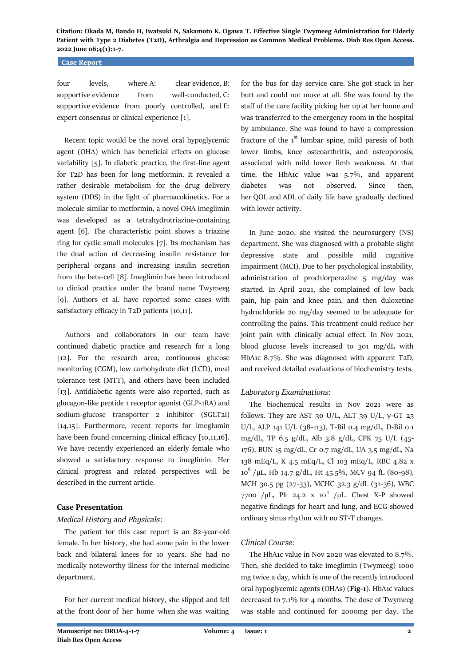# **Case Report**

four levels, where A: clear evidence, B: supportive evidence from well-conducted, C: supportive evidence from poorly controlled, and E: expert consensus or clinical experience [1].

 Recent topic would be the novel oral hypoglycemic agent (OHA) which has beneficial effects on glucose variability [5]. In diabetic practice, the first-line agent for T2D has been for long metformin. It revealed a rather desirable metabolism for the drug delivery system (DDS) in the light of pharmacokinetics. For a molecule similar to metformin, a novel OHA imeglimin was developed as a tetrahydrotriazine-containing agent [6]. The characteristic point shows a triazine ring for cyclic small molecules [7]. Its mechanism has the dual action of decreasing insulin resistance for peripheral organs and increasing insulin secretion from the beta-cell [8]. Imeglimin has been introduced to clinical practice under the brand name Twymeeg [9]. Authors et al. have reported some cases with satisfactory efficacy in T2D patients [10,11].

 Authors and collaborators in our team have continued diabetic practice and research for a long [12]. For the research area, continuous glucose monitoring (CGM), low carbohydrate diet (LCD), meal tolerance test (MTT), and others have been included [13]. Antidiabetic agents were also reported, such as glucagon-like peptide 1 receptor agonist (GLP-1RA) and sodium-glucose transporter 2 inhibitor (SGLT2i) [14,15]. Furthermore, recent reports for imeglumin have been found concerning clinical efficacy [10,11,16]. We have recently experienced an elderly female who showed a satisfactory response to imeglimin. Her clinical progress and related perspectives will be described in the current article.

### **Case Presentation**

### *Medical History and Physicals*:

 The patient for this case report is an 82-year-old female. In her history, she had some pain in the lower back and bilateral knees for 10 years. She had no medically noteworthy illness for the internal medicine department.

 For her current medical history, she slipped and fell at the front door of her home when she was waiting for the bus for day service care. She got stuck in her butt and could not move at all. She was found by the staff of the care facility picking her up at her home and was transferred to the emergency room in the hospital by ambulance. She was found to have a compression fracture of the  $1<sup>st</sup>$  lumbar spine, mild paresis of both lower limbs, knee osteoarthritis, and osteoporosis, associated with mild lower limb weakness. At that time, the HbA1c value was 5.7%, and apparent diabetes was not observed. Since then, her QOL and ADL of daily life have gradually declined with lower activity.

 In June 2020, she visited the neurosurgery (NS) department. She was diagnosed with a probable slight depressive state and possible mild cognitive impairment (MCI). Due to her psychological instability, administration of prochlorperazine 5 mg/day was started. In April 2021, she complained of low back pain, hip pain and knee pain, and then duloxetine hydrochloride 20 mg/day seemed to be adequate for controlling the pains. This treatment could reduce her joint pain with clinically actual effect. In Nov 2021, blood glucose levels increased to 301 mg/dL with HbA1c 8.7%. She was diagnosed with apparent T2D, and received detailed evaluations of biochemistry tests.

### *Laboratory Examinations*:

 The biochemical results in Nov 2021 were as follows. They are AST 30 U/L, ALT 39 U/L,  $\gamma$ -GT 23 U/L, ALP 141 U/L (38-113), T-Bil 0.4 mg/dL, D-Bil 0.1 mg/dL, TP 6.5 g/dL, Alb 3.8 g/dL, CPK 75 U/L (45- 176), BUN 15 mg/dL, Cr 0.7 mg/dL, UA 3.5 mg/dL, Na 138 mEq/L, K 4.5 mEq/L, Cl 103 mEq/L, RBC 4.82 x 10 6 /μL, Hb 14.7 g/dL, Ht 45.5%, MCV 94 fL (80-98), MCH 30.5 pg (27-33), MCHC 32.3 g/dL (31-36), WBC 7700 /μL, Plt 24.2 x  $10^4$  /μL. Chest X-P showed negative findings for heart and lung, and ECG showed ordinary sinus rhythm with no ST-T changes.

#### *Clinical Course*:

 The HbA1c value in Nov 2020 was elevated to 8.7%. Then, she decided to take imeglimin (Twymeeg) 1000 mg twice a day, which is one of the recently introduced oral hypoglycemic agents (OHAs) (**Fig-1**). HbA1c values decreased to 7.1% for 4 months. The dose of Twymeeg was stable and continued for 2000mg per day. The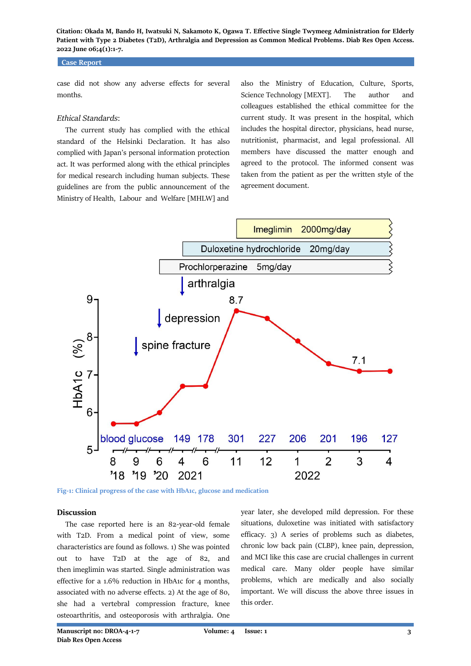# **Case Report**

case did not show any adverse effects for several months.

#### *Ethical Standards*:

 The current study has complied with the ethical standard of the Helsinki Declaration. It has also complied with Japan's personal information protection act. It was performed along with the ethical principles for medical research including human subjects. These guidelines are from the public announcement of the Ministry of Health, Labour and Welfare [MHLW] and

also the Ministry of Education, Culture, Sports, Science Technology [MEXT]. The author and colleagues established the ethical committee for the current study. It was present in the hospital, which includes the hospital director, physicians, head nurse, nutritionist, pharmacist, and legal professional. All members have discussed the matter enough and agreed to the protocol. The informed consent was taken from the patient as per the written style of the agreement document.



**Fig-1: Clinical progress of the case with HbA1c, glucose and medication**

#### **Discussion**

 The case reported here is an 82-year-old female with T2D. From a medical point of view, some characteristics are found as follows. 1) She was pointed out to have T2D at the age of 82, and then imeglimin was started. Single administration was effective for a 1.6% reduction in HbA1c for 4 months, associated with no adverse effects. 2) At the age of 80, she had a vertebral compression fracture, knee osteoarthritis, and osteoporosis with arthralgia. One year later, she developed mild depression. For these situations, duloxetine was initiated with satisfactory efficacy. 3) A series of problems such as diabetes, chronic low back pain (CLBP), knee pain, depression, and MCI like this case are crucial challenges in current medical care. Many older people have similar problems, which are medically and also socially important. We will discuss the above three issues in this order.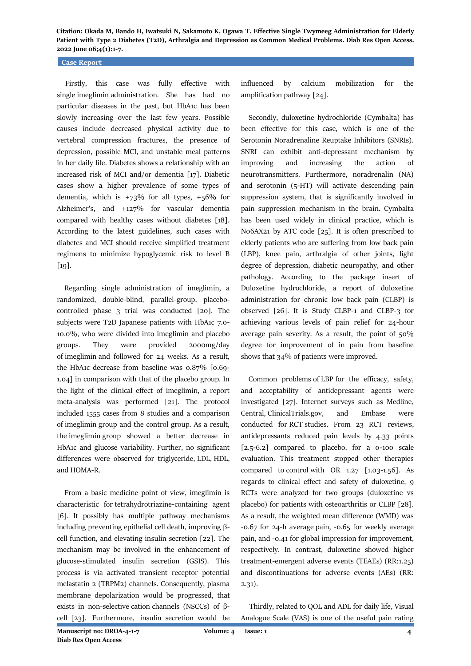#### **Case Report**

 Firstly, this case was fully effective with single imeglimin administration. She has had no particular diseases in the past, but HbA1c has been slowly increasing over the last few years. Possible causes include decreased physical activity due to vertebral compression fractures, the presence of depression, possible MCI, and unstable meal patterns in her daily life. Diabetes shows a relationship with an increased risk of MCI and/or dementia [17]. Diabetic cases show a higher prevalence of some types of dementia, which is  $+73\%$  for all types,  $+56\%$  for Alzheimer's, and +127% for vascular dementia compared with healthy cases without diabetes [18]. According to the latest guidelines, such cases with diabetes and MCI should receive simplified treatment regimens to minimize hypoglycemic risk to level B  $[19]$ .

 Regarding single administration of imeglimin, a randomized, double-blind, parallel-group, placebocontrolled phase 3 trial was conducted [20]. The subjects were T2D Japanese patients with HbA1c 7.0- 10.0%, who were divided into imeglimin and placebo groups. They were provided 2000mg/day of imeglimin and followed for 24 weeks. As a result, the HbA1c decrease from baseline was 0.87% [0.69- 1.04] in comparison with that of the placebo group. In the light of the clinical effect of imeglimin, a report meta-analysis was performed [21]. The protocol included 1555 cases from 8 studies and a comparison of imeglimin group and the control group. As a result, the imeglimin group showed a better decrease in HbA1c and glucose variability. Further, no significant differences were observed for triglyceride, LDL, HDL, and HOMA-R.

 From a basic medicine point of view, imeglimin is characteristic for tetrahydrotriazine-containing agent [6]. It possibly has multiple pathway mechanisms including preventing epithelial cell death, improving βcell function, and elevating insulin secretion [22]. The mechanism may be involved in the enhancement of glucose-stimulated insulin secretion (GSIS). This process is via activated transient receptor potential melastatin 2 (TRPM2) channels. Consequently, plasma membrane depolarization would be progressed, that exists in non-selective cation channels (NSCCs) of βcell [23]. Furthermore, insulin secretion would be

influenced by calcium mobilization for the amplification pathway [24].

 Secondly, duloxetine hydrochloride (Cymbalta) has been effective for this case, which is one of the Serotonin Noradrenaline Reuptake Inhibitors (SNRIs). SNRI can exhibit anti-depressant mechanism by improving and increasing the action of neurotransmitters. Furthermore, noradrenalin (NA) and serotonin (5-HT) will activate descending pain suppression system, that is significantly involved in pain suppression mechanism in the brain. Cymbalta has been used widely in clinical practice, which is N06AX21 by ATC code [25]. It is often prescribed to elderly patients who are suffering from low back pain (LBP), knee pain, arthralgia of other joints, light degree of depression, diabetic neuropathy, and other pathology. According to the package insert of Duloxetine hydrochloride, a report of duloxetine administration for chronic low back pain (CLBP) is observed [26]. It is Study CLBP-1 and CLBP-3 for achieving various levels of pain relief for 24-hour average pain severity. As a result, the point of 50% degree for improvement of in pain from baseline shows that 34% of patients were improved.

 Common problems of LBP for the efficacy, safety, and acceptability of antidepressant agents were investigated [27]. Internet surveys such as Medline, Central, ClinicalTrials.gov, and Embase were conducted for RCT studies. From 23 RCT reviews, antidepressants reduced pain levels by 4.33 points  $[2.5-6.2]$  compared to placebo, for a  $0-100$  scale evaluation. This treatment stopped other therapies compared to control with  $OR$  1.27  $[1.03-1.56]$ . As regards to clinical effect and safety of duloxetine, 9 RCTs were analyzed for two groups (duloxetine vs placebo) for patients with osteoarthritis or CLBP [28]. As a result, the weighted mean difference (WMD) was -0.67 for 24-h average pain, -0.65 for weekly average pain, and -0.41 for global impression for improvement, respectively. In contrast, duloxetine showed higher treatment-emergent adverse events (TEAEs) (RR:1.25) and discontinuations for adverse events (AEs) (RR: 2.31).

 Thirdly, related to QOL and ADL for daily life, Visual Analogue Scale (VAS) is one of the useful pain rating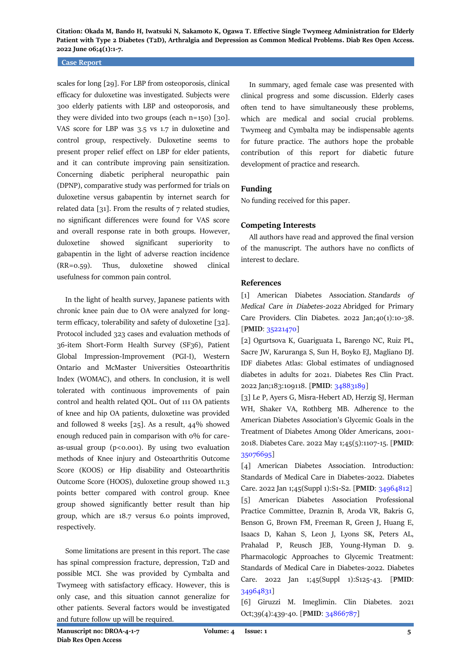#### **Case Report**

scales for long [29]. For LBP from osteoporosis, clinical efficacy for duloxetine was investigated. Subjects were 300 elderly patients with LBP and osteoporosis, and they were divided into two groups (each  $n=150$ ) [30]. VAS score for LBP was 3.5 vs 1.7 in duloxetine and control group, respectively. Duloxetine seems to present proper relief effect on LBP for elder patients, and it can contribute improving pain sensitization. Concerning diabetic peripheral neuropathic pain (DPNP), comparative study was performed for trials on duloxetine versus gabapentin by internet search for related data [31]. From the results of  $7$  related studies, no significant differences were found for VAS score and overall response rate in both groups. However, duloxetine showed significant superiority to gabapentin in the light of adverse reaction incidence (RR=0.59). Thus, duloxetine showed clinical usefulness for common pain control.

 In the light of health survey, Japanese patients with chronic knee pain due to OA were analyzed for longterm efficacy, tolerability and safety of duloxetine [32]. Protocol included 323 cases and evaluation methods of 36-item Short-Form Health Survey (SF36), Patient Global Impression-Improvement (PGI-I), Western Ontario and McMaster Universities Osteoarthritis Index (WOMAC), and others. In conclusion, it is well tolerated with continuous improvements of pain control and health related QOL. Out of 111 OA patients of knee and hip OA patients, duloxetine was provided and followed 8 weeks [25]. As a result, 44% showed enough reduced pain in comparison with 0% for careas-usual group ( $p < 0.001$ ). By using two evaluation methods of Knee injury and Osteoarthritis Outcome Score (KOOS) or Hip disability and Osteoarthritis Outcome Score (HOOS), duloxetine group showed 11.3 points better compared with control group. Knee group showed significantly better result than hip group, which are 18.7 versus 6.0 points improved, respectively.

 Some limitations are present in this report. The case has spinal compression fracture, depression, T2D and possible MCI. She was provided by Cymbalta and Twymeeg with satisfactory efficacy. However, this is only case, and this situation cannot generalize for other patients. Several factors would be investigated and future follow up will be required.

 In summary, aged female case was presented with clinical progress and some discussion. Elderly cases often tend to have simultaneously these problems, which are medical and social crucial problems. Twymeeg and Cymbalta may be indispensable agents for future practice. The authors hope the probable contribution of this report for diabetic future development of practice and research.

# **Funding**

No funding received for this paper.

# **Competing Interests**

 All authors have read and approved the final version of the manuscript. The authors have no conflicts of interest to declare.

# **References**

[1] American Diabetes Association. *Standards of Medical Care in Diabetes-2022* Abridged for Primary Care Providers. Clin Diabetes. 2022 Jan;40(1):10-38. [**PMID**: [35221470\]](https://pubmed.ncbi.nlm.nih.gov/35221470/)

[2] Ogurtsova K, Guariguata L, Barengo NC, Ruiz PL, Sacre JW, Karuranga S, Sun H, Boyko EJ, Magliano DJ. IDF diabetes Atlas: Global estimates of undiagnosed diabetes in adults for 2021. Diabetes Res Clin Pract. 2022 Jan;183:109118. [**PMID**: [34883189\]](https://pubmed.ncbi.nlm.nih.gov/34883189/)

[3] Le P, Ayers G, Misra-Hebert AD, Herzig SJ, Herman WH, Shaker VA, Rothberg MB. Adherence to the American Diabetes Association's Glycemic Goals in the Treatment of Diabetes Among Older Americans, 2001- 2018. Diabetes Care. 2022 May 1;45(5):1107-15. [**PMID**: [35076695\]](https://pubmed.ncbi.nlm.nih.gov/35076695/)

[4] American Diabetes Association. Introduction: Standards of Medical Care in Diabetes-2022. Diabetes Care. 2022 Jan 1;45(Suppl 1):S1-S2. [**PMID**[: 34964812\]](https://pubmed.ncbi.nlm.nih.gov/34964812/) [5] American Diabetes Association Professional Practice Committee, Draznin B, Aroda VR, Bakris G, Benson G, Brown FM, Freeman R, Green J, Huang E, Isaacs D, Kahan S, Leon J, Lyons SK, Peters AL, Prahalad P, Reusch JEB, Young-Hyman D. 9. Pharmacologic Approaches to Glycemic Treatment: Standards of Medical Care in Diabetes-2022. Diabetes Care. 2022 Jan 1;45(Suppl 1):S125-43. [**PMID**: [34964831\]](https://pubmed.ncbi.nlm.nih.gov/34964831/)

[6] Giruzzi M. Imeglimin. Clin Diabetes. 2021 Oct;39(4):439-40. [**PMID**[: 34866787\]](https://pubmed.ncbi.nlm.nih.gov/34866787/)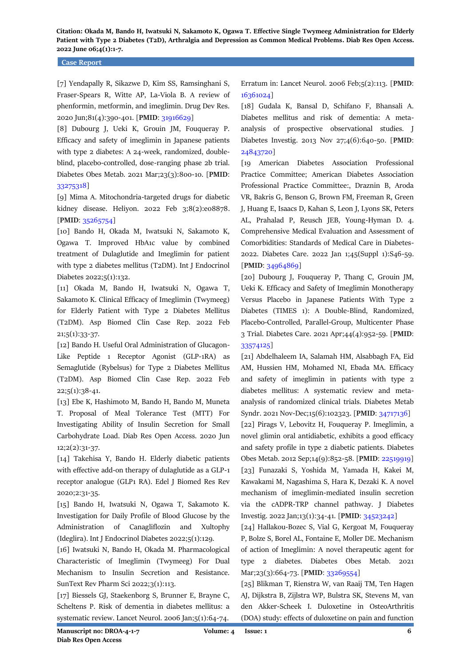#### **Case Report**

[7] Yendapally R, Sikazwe D, Kim SS, Ramsinghani S, Fraser-Spears R, Witte AP, La-Viola B. A review of phenformin, metformin, and imeglimin. Drug Dev Res. 2020 Jun;81(4):390-401. [**PMID**: [31916629\]](https://pubmed.ncbi.nlm.nih.gov/31916629/)

[8] Dubourg J, Ueki K, Grouin JM, Fouqueray P. Efficacy and safety of imeglimin in Japanese patients with type 2 diabetes: A 24-week, randomized, doubleblind, placebo-controlled, dose-ranging phase 2b trial. Diabetes Obes Metab. 2021 Mar;23(3):800-10. [**PMID**: [33275318\]](https://pubmed.ncbi.nlm.nih.gov/33275318/)

[9] Mima A. Mitochondria-targeted drugs for diabetic kidney disease. Heliyon. 2022 Feb 3;8(2):e08878. [**PMID**[: 35265754\]](https://pubmed.ncbi.nlm.nih.gov/35265754/)

[10] Bando H, Okada M, Iwatsuki N, Sakamoto K, Ogawa T. Improved HbA1c value by combined treatment of Dulaglutide and Imeglimin for patient with type 2 diabetes mellitus (T2DM). Int J Endocrinol Diabetes 2022;5(1):132.

[11] Okada M, Bando H, Iwatsuki N, Ogawa T, Sakamoto K. Clinical Efficacy of Imeglimin (Twymeeg) for Elderly Patient with Type 2 Diabetes Mellitus (T2DM). Asp Biomed Clin Case Rep. 2022 Feb 21;5(1):33-37.

[12] Bando H. Useful Oral Administration of Glucagon-Like Peptide 1 Receptor Agonist (GLP-1RA) as Semaglutide (Rybelsus) for Type 2 Diabetes Mellitus (T2DM). Asp Biomed Clin Case Rep. 2022 Feb  $22;5(1):38-41.$ 

[13] Ebe K, Hashimoto M, Bando H, Bando M, Muneta T. Proposal of Meal Tolerance Test (MTT) For Investigating Ability of Insulin Secretion for Small Carbohydrate Load. Diab Res Open Access. 2020 Jun 12;2(2):31-37.

[14] Takehisa Y, Bando H. Elderly diabetic patients with effective add-on therapy of dulaglutide as a GLP-1 receptor analogue (GLP1 RA). Edel J Biomed Res Rev 2020;2:31-35.

[15] Bando H, Iwatsuki N, Ogawa T, Sakamoto K. Investigation for Daily Profile of Blood Glucose by the Administration of Canagliflozin and Xultophy (Ideglira). Int J Endocrinol Diabetes 2022;5(1):129.

[16] Iwatsuki N, Bando H, Okada M. Pharmacological Characteristic of Imeglimin (Twymeeg) For Dual Mechanism to Insulin Secretion and Resistance. SunText Rev Pharm Sci 2022;3(1):113.

[17] Biessels GJ, Staekenborg S, Brunner E, Brayne C, Scheltens P. Risk of dementia in diabetes mellitus: a systematic review. Lancet Neurol. 2006 Jan;5(1):64-74.

Erratum in: Lancet Neurol. 2006 Feb;5(2):113. [**PMID**: [16361024\]](https://pubmed.ncbi.nlm.nih.gov/16361024/)

[18] Gudala K, Bansal D, Schifano F, Bhansali A. Diabetes mellitus and risk of dementia: A metaanalysis of prospective observational studies. J Diabetes Investig. 2013 Nov 27;4(6):640-50. [**PMID**: [24843720\]](https://pubmed.ncbi.nlm.nih.gov/24843720/)

[19 American Diabetes Association Professional Practice Committee; American Diabetes Association Professional Practice Committee:, Draznin B, Aroda VR, Bakris G, Benson G, Brown FM, Freeman R, Green J, Huang E, Isaacs D, Kahan S, Leon J, Lyons SK, Peters AL, Prahalad P, Reusch JEB, Young-Hyman D. 4. Comprehensive Medical Evaluation and Assessment of Comorbidities: Standards of Medical Care in Diabetes-2022. Diabetes Care. 2022 Jan 1;45(Suppl 1):S46-59. [**PMID**: [34964869\]](https://pubmed.ncbi.nlm.nih.gov/34964869/)

[20] Dubourg J, Fouqueray P, Thang C, Grouin JM, Ueki K. Efficacy and Safety of Imeglimin Monotherapy Versus Placebo in Japanese Patients With Type 2 Diabetes (TIMES 1): A Double-Blind, Randomized, Placebo-Controlled, Parallel-Group, Multicenter Phase 3 Trial. Diabetes Care. 2021 Apr;44(4):952-59. [**PMID**: [33574125\]](https://pubmed.ncbi.nlm.nih.gov/33574125/)

[21] Abdelhaleem IA, Salamah HM, Alsabbagh FA, Eid AM, Hussien HM, Mohamed NI, Ebada MA. Efficacy and safety of imeglimin in patients with type 2 diabetes mellitus: A systematic review and metaanalysis of randomized clinical trials. Diabetes Metab Syndr. 2021 Nov-Dec;15(6):102323. [**PMID**: [34717136\]](https://pubmed.ncbi.nlm.nih.gov/34717136/) [22] Pirags V, Lebovitz H, Fouqueray P. Imeglimin, a novel glimin oral antidiabetic, exhibits a good efficacy and safety profile in type 2 diabetic patients. Diabetes Obes Metab. 2012 Sep;14(9):852-58. [**PMID**[: 22519919\]](https://pubmed.ncbi.nlm.nih.gov/22519919/) [23] Funazaki S, Yoshida M, Yamada H, Kakei M, Kawakami M, Nagashima S, Hara K, Dezaki K. A novel mechanism of imeglimin-mediated insulin secretion via the cADPR-TRP channel pathway. J Diabetes Investig. 2022 Jan;13(1):34-41. [**PMID**[: 34523242\]](https://pubmed.ncbi.nlm.nih.gov/34523242/)

[24] Hallakou-Bozec S, Vial G, Kergoat M, Fouqueray P, Bolze S, Borel AL, Fontaine E, Moller DE. Mechanism of action of Imeglimin: A novel therapeutic agent for type 2 diabetes. Diabetes Obes Metab. 2021 Mar;23(3):664-73. [**PMID**: [33269554\]](https://pubmed.ncbi.nlm.nih.gov/33269554/)

[25] Blikman T, Rienstra W, van Raaij TM, Ten Hagen AJ, Dijkstra B, Zijlstra WP, Bulstra SK, Stevens M, van den Akker-Scheek I. Duloxetine in OsteoArthritis (DOA) study: effects of duloxetine on pain and function